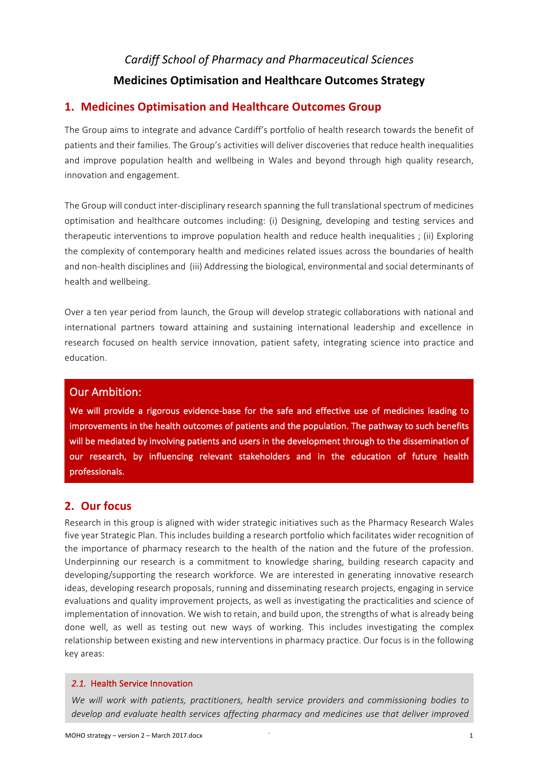# *Cardiff School of Pharmacy and Pharmaceutical Sciences* **Medicines Optimisation and Healthcare Outcomes Strategy**

## **1. Medicines Optimisation and Healthcare Outcomes Group**

The Group aims to integrate and advance Cardiff's portfolio of health research towards the benefit of patients and their families. The Group's activities will deliver discoveries that reduce health inequalities and improve population health and wellbeing in Wales and beyond through high quality research, innovation and engagement.

The Group will conduct inter-disciplinary research spanning the full translational spectrum of medicines optimisation and healthcare outcomes including: (i) Designing, developing and testing services and therapeutic interventions to improve population health and reduce health inequalities ; (ii) Exploring the complexity of contemporary health and medicines related issues across the boundaries of health and non-health disciplines and (iii) Addressing the biological, environmental and social determinants of health and wellbeing.

Over a ten year period from launch, the Group will develop strategic collaborations with national and international partners toward attaining and sustaining international leadership and excellence in research focused on health service innovation, patient safety, integrating science into practice and education.

## **Our Ambition:**

We will provide a rigorous evidence-base for the safe and effective use of medicines leading to improvements in the health outcomes of patients and the population. The pathway to such benefits will be mediated by involving patients and users in the development through to the dissemination of our research, by influencing relevant stakeholders and in the education of future health professionals. 

## **2. Our focus**

Research in this group is aligned with wider strategic initiatives such as the Pharmacy Research Wales five year Strategic Plan. This includes building a research portfolio which facilitates wider recognition of the importance of pharmacy research to the health of the nation and the future of the profession. Underpinning our research is a commitment to knowledge sharing, building research capacity and developing/supporting the research workforce. We are interested in generating innovative research ideas, developing research proposals, running and disseminating research projects, engaging in service evaluations and quality improvement projects, as well as investigating the practicalities and science of implementation of innovation. We wish to retain, and build upon, the strengths of what is already being done well, as well as testing out new ways of working. This includes investigating the complex relationship between existing and new interventions in pharmacy practice. Our focus is in the following key areas:

### 2.1. Health Service Innovation

*We will work with patients, practitioners, health service providers and commissioning bodies to develop* and evaluate health services affecting pharmacy and medicines use that deliver improved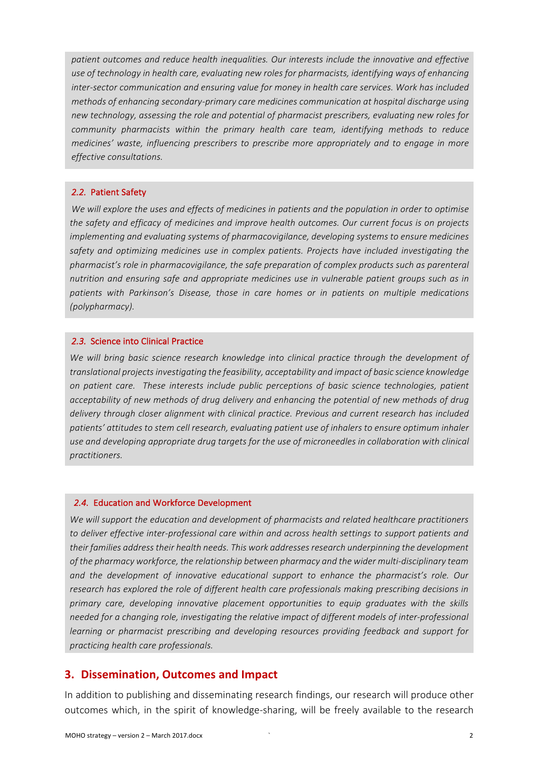patient outcomes and reduce health inequalities. Our interests include the innovative and effective use of technology in health care, evaluating new roles for pharmacists, identifying ways of enhancing inter-sector communication and ensuring value for money in health care services. Work has included *methods* of enhancing secondary-primary care medicines communication at hospital discharge using *new technology, assessing the role and potential of pharmacist prescribers, evaluating new roles for community* pharmacists within the primary health care team, identifying methods to reduce *medicines' waste, influencing prescribers to prescribe more appropriately and to engage in more effective consultations.* 

### 2.2. Patient Safety

*We* will explore the uses and effects of medicines in patients and the population in order to optimise the safety and efficacy of medicines and improve health outcomes. Our current focus is on projects *implementing and evaluating systems of pharmacovigilance, developing systems to ensure medicines* safety and optimizing medicines use in complex patients. Projects have included investigating the pharmacist's role in pharmacovigilance, the safe preparation of complex products such as parenteral *nutrition* and ensuring safe and appropriate medicines use in vulnerable patient groups such as in *patients with Parkinson's Disease, those in care homes or in patients on multiple medications (polypharmacy).* 

#### 2.3. Science into Clinical Practice

*We* will bring basic science research knowledge into clinical practice through the development of *translational projects investigating the feasibility, acceptability and impact of basic science knowledge on patient care. These interests include public perceptions of basic science technologies, patient*  acceptability of new methods of drug delivery and enhancing the potential of new methods of drug delivery through closer alignment with clinical practice. Previous and current research has included patients' attitudes to stem cell research, evaluating patient use of inhalers to ensure optimum inhaler use and developing appropriate drug targets for the use of microneedles in collaboration with clinical *practitioners.* 

#### 2.4. Education and Workforce Development

*We will support the education and development of pharmacists and related healthcare practitioners to* deliver effective inter-professional care within and across health settings to support patients and their families address their health needs. This work addresses research underpinning the development of the pharmacy workforce, the relationship between pharmacy and the wider multi-disciplinary team *and the development of innovative educational support to enhance the pharmacist's role. Our*  research has explored the role of different health care professionals making prescribing decisions in primary care, developing innovative placement opportunities to equip graduates with the skills *needed for a changing role, investigating the relative impact of different models of inter-professional learning* or pharmacist prescribing and developing resources providing feedback and support for *practicing health care professionals.* 

### **3. Dissemination, Outcomes and Impact**

In addition to publishing and disseminating research findings, our research will produce other outcomes which, in the spirit of knowledge-sharing, will be freely available to the research